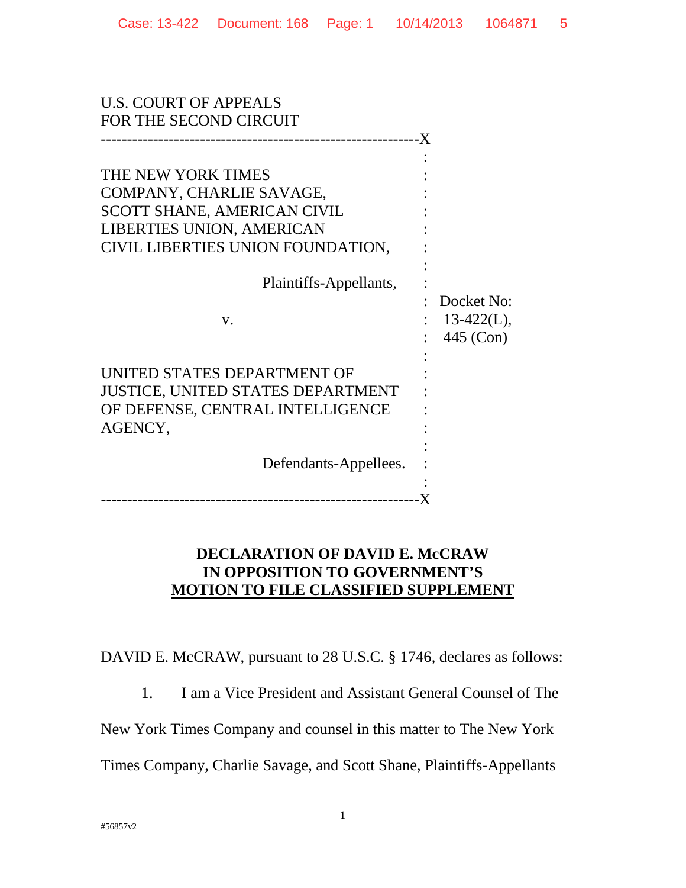| <b>U.S. COURT OF APPEALS</b><br>FOR THE SECOND CIRCUIT                                                                                                                                 |                                          |
|----------------------------------------------------------------------------------------------------------------------------------------------------------------------------------------|------------------------------------------|
| THE NEW YORK TIMES<br>COMPANY, CHARLIE SAVAGE,<br>SCOTT SHANE, AMERICAN CIVIL<br><b>LIBERTIES UNION, AMERICAN</b><br>CIVIL LIBERTIES UNION FOUNDATION,<br>Plaintiffs-Appellants,<br>V. | Docket No:<br>$13-422(L)$ ,<br>445 (Con) |
| UNITED STATES DEPARTMENT OF<br><b>JUSTICE, UNITED STATES DEPARTMENT</b><br>OF DEFENSE, CENTRAL INTELLIGENCE<br>AGENCY,<br>Defendants-Appellees.                                        |                                          |
|                                                                                                                                                                                        |                                          |

## **DECLARATION OF DAVID E. McCRAW IN OPPOSITION TO GOVERNMENT'S MOTION TO FILE CLASSIFIED SUPPLEMENT**

DAVID E. McCRAW, pursuant to 28 U.S.C. § 1746, declares as follows:

1. I am a Vice President and Assistant General Counsel of The

New York Times Company and counsel in this matter to The New York

Times Company, Charlie Savage, and Scott Shane, Plaintiffs-Appellants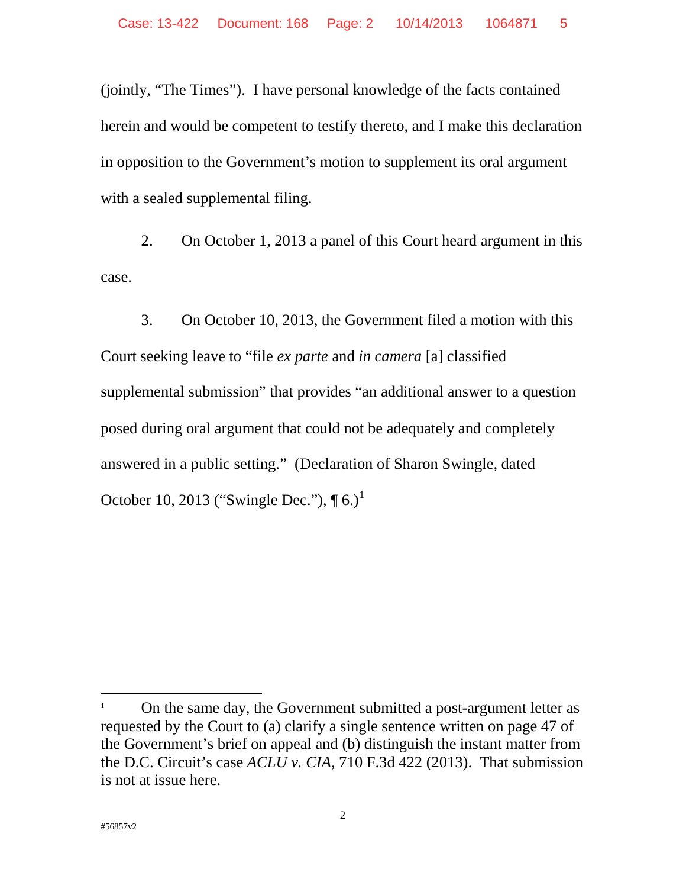(jointly, "The Times"). I have personal knowledge of the facts contained herein and would be competent to testify thereto, and I make this declaration in opposition to the Government's motion to supplement its oral argument with a sealed supplemental filing.

2. On October 1, 2013 a panel of this Court heard argument in this case.

3. On October 10, 2013, the Government filed a motion with this Court seeking leave to "file *ex parte* and *in camera* [a] classified supplemental submission" that provides "an additional answer to a question posed during oral argument that could not be adequately and completely answered in a public setting." (Declaration of Sharon Swingle, dated October 10, 2013 ("Swingle Dec."),  $\P_6$ .)<sup>1</sup>

 $\overline{a}$ 

<sup>1</sup> On the same day, the Government submitted a post-argument letter as requested by the Court to (a) clarify a single sentence written on page 47 of the Government's brief on appeal and (b) distinguish the instant matter from the D.C. Circuit's case *ACLU v. CIA*, 710 F.3d 422 (2013). That submission is not at issue here.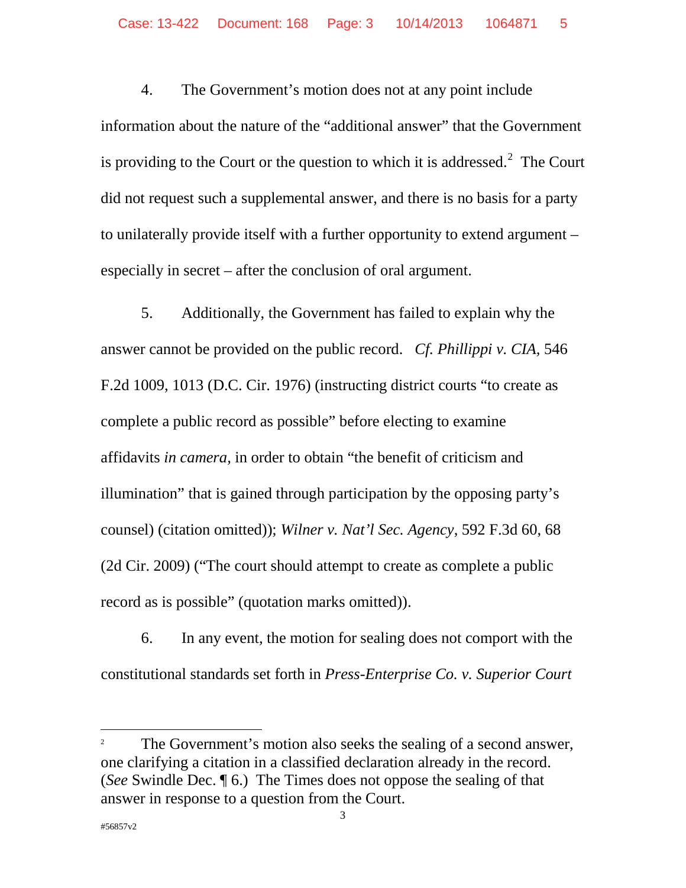4. The Government's motion does not at any point include information about the nature of the "additional answer" that the Government is providing to the Court or the question to which it is addressed. $2$  The Court did not request such a supplemental answer, and there is no basis for a party to unilaterally provide itself with a further opportunity to extend argument – especially in secret – after the conclusion of oral argument.

5. Additionally, the Government has failed to explain why the answer cannot be provided on the public record. *Cf. Phillippi v. CIA,* 546 F.2d 1009, 1013 (D.C. Cir. 1976) (instructing district courts "to create as complete a public record as possible" before electing to examine affidavits *in camera,* in order to obtain "the benefit of criticism and illumination" that is gained through participation by the opposing party's counsel) (citation omitted)); *Wilner v. Nat'l Sec. Agency*, 592 F.3d 60, 68 (2d Cir. 2009) ("The court should attempt to create as complete a public record as is possible" (quotation marks omitted)).

6. In any event, the motion for sealing does not comport with the constitutional standards set forth in *Press-Enterprise Co. v. Superior Court* 

<sup>2</sup> The Government's motion also seeks the sealing of a second answer, one clarifying a citation in a classified declaration already in the record. (*See* Swindle Dec. ¶ 6.) The Times does not oppose the sealing of that answer in response to a question from the Court.

 $\overline{a}$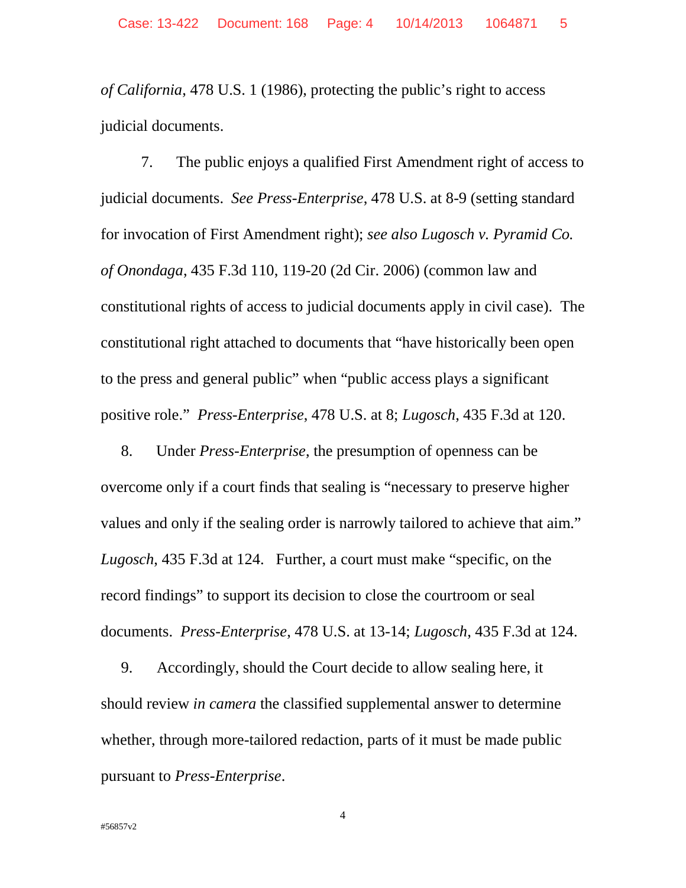*of California*, 478 U.S. 1 (1986), protecting the public's right to access judicial documents.

7. The public enjoys a qualified First Amendment right of access to judicial documents. *See Press-Enterprise*, 478 U.S. at 8-9 (setting standard for invocation of First Amendment right); *see also Lugosch v. Pyramid Co. of Onondaga*, 435 F.3d 110, 119-20 (2d Cir. 2006) (common law and constitutional rights of access to judicial documents apply in civil case). The constitutional right attached to documents that "have historically been open to the press and general public" when "public access plays a significant positive role." *Press-Enterprise*, 478 U.S. at 8; *Lugosch*, 435 F.3d at 120.

8. Under *Press-Enterprise*, the presumption of openness can be overcome only if a court finds that sealing is "necessary to preserve higher values and only if the sealing order is narrowly tailored to achieve that aim." *Lugosch*, 435 F.3d at 124. Further, a court must make "specific, on the record findings" to support its decision to close the courtroom or seal documents. *Press-Enterprise*, 478 U.S. at 13-14; *Lugosch*, 435 F.3d at 124.

9. Accordingly, should the Court decide to allow sealing here, it should review *in camera* the classified supplemental answer to determine whether, through more-tailored redaction, parts of it must be made public pursuant to *Press-Enterprise*.

4